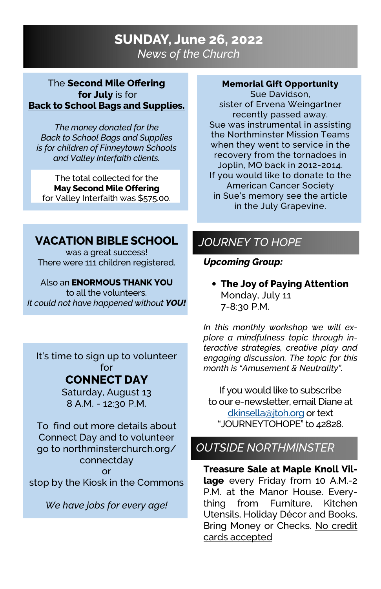# SUNDAY, June 26, 2022 News of the Church

### The Second Mile Offering for **July** is for Back to School Bags and Supplies.

The money donated for the Back to School Bags and Supplies is for children of Finneytown Schools and Valley Interfaith clients.

The total collected for the May Second Mile Offering for Valley Interfaith was \$575.00.

### Memorial Gift Opportunity

Sue Davidson, sister of Ervena Weingartner recently passed away. Sue was instrumental in assisting the Northminster Mission Teams when they went to service in the recovery from the tornadoes in Joplin, MO back in 2012-2014. If you would like to donate to the American Cancer Society in Sue's memory see the article in the July Grapevine.

## VACATION BIBLE SCHOOL

was a great success! There were 111 children registered.

#### Also an ENORMOUS THANK YOU to all the volunteers.

It could not have happened without YOU!

It's time to sign up to volunteer for

## CONNECT DAY

Saturday, August 13 8 A.M. - 12:30 P.M.

To find out more details about Connect Day and to volunteer go to northminsterchurch.org/ connectday or stop by the Kiosk in the Commons

We have jobs for every age!

# JOURNEY TO HOPE

### Upcoming Group:

• The Joy of Paying Attention Monday, July 11 7-8:30 P.M.

In this monthly workshop we will explore a mindfulness topic through interactive strategies, creative play and engaging discussion. The topic for this month is "Amusement & Neutrality".

If you would like to subscribe to our e-newsletter, email Diane at dkinsella@jtoh.org or text "JOURNEYTOHOPE" to 42828.

# OUTSIDE NORTHMINSTER

Treasure Sale at Maple Knoll Village every Friday from 10 A.M.-2 P.M. at the Manor House. Everything from Furniture, Kitchen Utensils, Holiday Décor and Books. Bring Money or Checks. No credit cards accepted